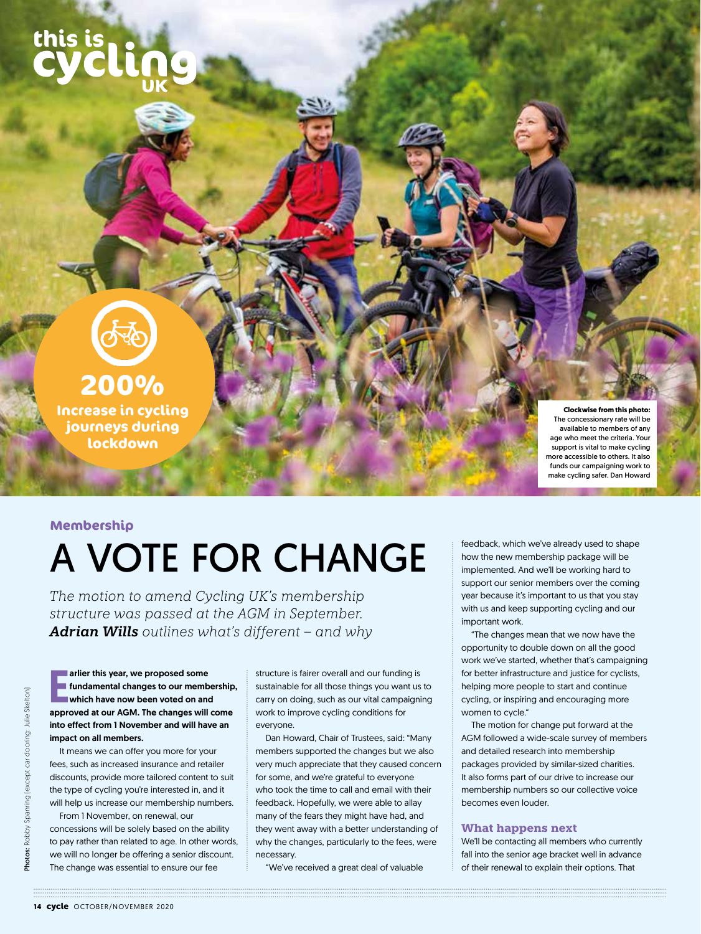# **this is**



**200% Increase in cycling journeys during lockdown**

**Clockwise from this photo:** The concessionary rate will be available to members of any age who meet the criteria. Your support is vital to make cycling more accessible to others. It also funds our campaigning work to make cycling safer. Dan Howard

### **Membership**

## A VOTE FOR CHANGE

*The motion to amend Cycling UK's membership structure was passed at the AGM in September. Adrian Wills outlines what's different – and why*

arlier this year, we proposed some<br>fundamental changes to our membership<br>which have now been voted on and<br>approved at our AGM. The changes will come arlier this year, we proposed some fundamental changes to our membership, which have now been voted on and into effect from 1 November and will have an impact on all members.

It means we can offer you more for your fees, such as increased insurance and retailer discounts, provide more tailored content to suit the type of cycling you're interested in, and it will help us increase our membership numbers.

From 1 November, on renewal, our concessions will be solely based on the ability to pay rather than related to age. In other words, we will no longer be offering a senior discount. The change was essential to ensure our fee

structure is fairer overall and our funding is sustainable for all those things you want us to carry on doing, such as our vital campaigning work to improve cycling conditions for everyone.

Dan Howard, Chair of Trustees, said: "Many members supported the changes but we also very much appreciate that they caused concern for some, and we're grateful to everyone who took the time to call and email with their feedback. Hopefully, we were able to allay many of the fears they might have had, and they went away with a better understanding of why the changes, particularly to the fees, were necessary.

"We've received a great deal of valuable

feedback, which we've already used to shape how the new membership package will be implemented. And we'll be working hard to support our senior members over the coming year because it's important to us that you stay with us and keep supporting cycling and our important work.

"The changes mean that we now have the opportunity to double down on all the good work we've started, whether that's campaigning for better infrastructure and justice for cyclists, helping more people to start and continue cycling, or inspiring and encouraging more women to cycle."

The motion for change put forward at the AGM followed a wide-scale survey of members and detailed research into membership packages provided by similar-sized charities. It also forms part of our drive to increase our membership numbers so our collective voice becomes even louder.

### **What happens next**

We'll be contacting all members who currently fall into the senior age bracket well in advance of their renewal to explain their options. That